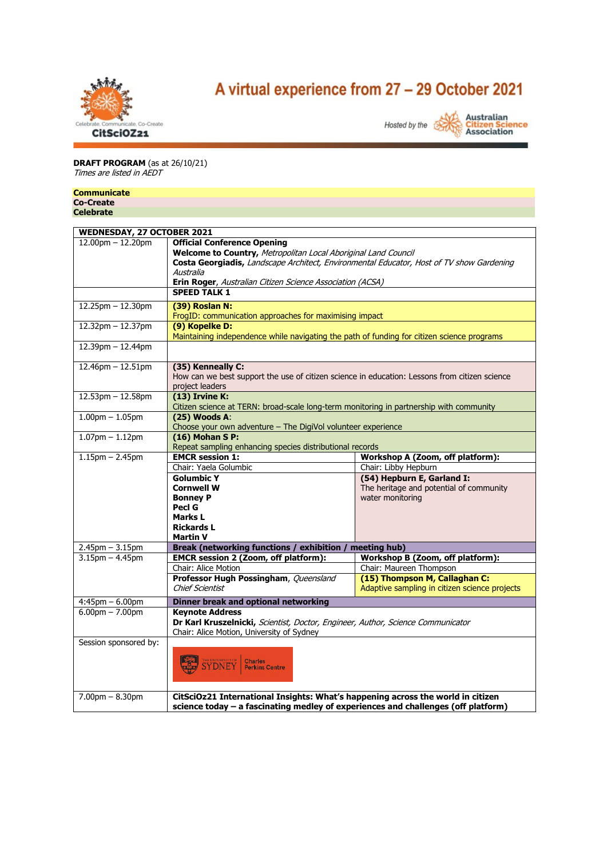

# A virtual experience from 27 - 29 October 2021



# **DRAFT PROGRAM** (as at 26/10/21) Times are listed in AEDT

## **Communicate**

**Co-Create Celebrate**

| WEDNESDAY, 27 OCTOBER 2021 |                                                                                                                                                                                                                                                                            |                                               |  |
|----------------------------|----------------------------------------------------------------------------------------------------------------------------------------------------------------------------------------------------------------------------------------------------------------------------|-----------------------------------------------|--|
| $12.00$ pm $- 12.20$ pm    | <b>Official Conference Opening</b><br>Welcome to Country, Metropolitan Local Aboriginal Land Council<br>Costa Georgiadis, Landscape Architect, Environmental Educator, Host of TV show Gardening<br>Australia<br>Erin Roger, Australian Citizen Science Association (ACSA) |                                               |  |
|                            | <b>SPEED TALK 1</b>                                                                                                                                                                                                                                                        |                                               |  |
|                            |                                                                                                                                                                                                                                                                            |                                               |  |
| 12.25pm - 12.30pm          | (39) Roslan N:<br>FrogID: communication approaches for maximising impact                                                                                                                                                                                                   |                                               |  |
| 12.32pm - 12.37pm          | (9) Kopelke D:<br>Maintaining independence while navigating the path of funding for citizen science programs                                                                                                                                                               |                                               |  |
| 12.39pm - 12.44pm          |                                                                                                                                                                                                                                                                            |                                               |  |
| 12.46pm - 12.51pm          | (35) Kenneally C:<br>How can we best support the use of citizen science in education: Lessons from citizen science<br>project leaders                                                                                                                                      |                                               |  |
| 12.53pm - 12.58pm          | $(13)$ Irvine K:<br>Citizen science at TERN: broad-scale long-term monitoring in partnership with community                                                                                                                                                                |                                               |  |
| $1.00pm - 1.05pm$          | $(25)$ Woods A:<br>Choose your own adventure - The DigiVol volunteer experience                                                                                                                                                                                            |                                               |  |
| $1.07$ pm $- 1.12$ pm      | (16) Mohan S P:<br>Repeat sampling enhancing species distributional records                                                                                                                                                                                                |                                               |  |
| $1.15$ pm $- 2.45$ pm      | <b>EMCR session 1:</b>                                                                                                                                                                                                                                                     | Workshop A (Zoom, off platform):              |  |
|                            | Chair: Yaela Golumbic                                                                                                                                                                                                                                                      | Chair: Libby Hepburn                          |  |
|                            | <b>Golumbic Y</b>                                                                                                                                                                                                                                                          | (54) Hepburn E, Garland I:                    |  |
|                            | <b>Cornwell W</b>                                                                                                                                                                                                                                                          | The heritage and potential of community       |  |
|                            | <b>Bonney P</b>                                                                                                                                                                                                                                                            | water monitoring                              |  |
|                            | Pecl G                                                                                                                                                                                                                                                                     |                                               |  |
|                            | Marks L                                                                                                                                                                                                                                                                    |                                               |  |
|                            | <b>Rickards L</b>                                                                                                                                                                                                                                                          |                                               |  |
|                            | <b>Martin V</b>                                                                                                                                                                                                                                                            |                                               |  |
| $2.45$ pm $- 3.15$ pm      | <b>Break (networking functions / exhibition</b>                                                                                                                                                                                                                            | meeting hub)                                  |  |
| $3.15$ pm $- 4.45$ pm      | EMCR session 2 (Zoom, off platform):                                                                                                                                                                                                                                       | Workshop B (Zoom, off platform):              |  |
|                            | Chair: Alice Motion                                                                                                                                                                                                                                                        | Chair: Maureen Thompson                       |  |
|                            | Professor Hugh Possingham, Queensland                                                                                                                                                                                                                                      | (15) Thompson M, Callaghan C:                 |  |
|                            | <b>Chief Scientist</b>                                                                                                                                                                                                                                                     | Adaptive sampling in citizen science projects |  |
| $4:45$ pm $-6.00$ pm       | Dinner break and optional networking                                                                                                                                                                                                                                       |                                               |  |
| $6.00$ pm $- 7.00$ pm      | <b>Kevnote Address</b>                                                                                                                                                                                                                                                     |                                               |  |
|                            |                                                                                                                                                                                                                                                                            |                                               |  |
|                            | Dr Karl Kruszelnicki, Scientist, Doctor, Engineer, Author, Science Communicator<br>Chair: Alice Motion, University of Sydney                                                                                                                                               |                                               |  |
| Session sponsored by:      |                                                                                                                                                                                                                                                                            |                                               |  |
|                            | THE UNIVERSITY OF<br><b>Charles</b><br><b>Perkins Centre</b>                                                                                                                                                                                                               |                                               |  |
| $7.00pm - 8.30pm$          | CitSciOz21 International Insights: What's happening across the world in citizen<br>science today - a fascinating medley of experiences and challenges (off platform)                                                                                                       |                                               |  |
|                            |                                                                                                                                                                                                                                                                            |                                               |  |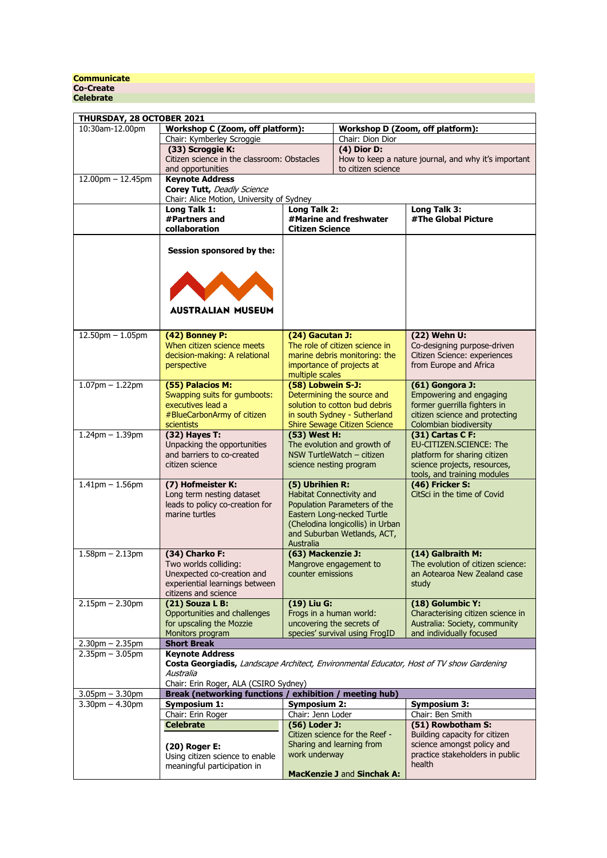### **Communicate Co-Create Celebrate**

| THURSDAY, 28 OCTOBER 2021 |                                                                                          |                          |                                     |                                                      |
|---------------------------|------------------------------------------------------------------------------------------|--------------------------|-------------------------------------|------------------------------------------------------|
| 10:30am-12.00pm           | Workshop C (Zoom, off platform):                                                         |                          |                                     | Workshop D (Zoom, off platform):                     |
|                           | Chair: Kymberley Scroggie                                                                |                          | Chair: Dion Dior                    |                                                      |
|                           | (33) Scroggie K:                                                                         |                          | (4) Dior D:                         |                                                      |
|                           | Citizen science in the classroom: Obstacles                                              |                          |                                     | How to keep a nature journal, and why it's important |
|                           | and opportunities                                                                        |                          | to citizen science                  |                                                      |
| $12.00$ pm $- 12.45$ pm   | <b>Keynote Address</b>                                                                   |                          |                                     |                                                      |
|                           | Corey Tutt, Deadly Science                                                               |                          |                                     |                                                      |
|                           | Chair: Alice Motion, University of Sydney                                                |                          |                                     |                                                      |
|                           | Long Talk 1:                                                                             | Long Talk 2:             |                                     | Long Talk 3:                                         |
|                           | #Partners and                                                                            |                          | #Marine and freshwater              | #The Global Picture                                  |
|                           | collaboration                                                                            | <b>Citizen Science</b>   |                                     |                                                      |
|                           |                                                                                          |                          |                                     |                                                      |
|                           | Session sponsored by the:                                                                |                          |                                     |                                                      |
|                           |                                                                                          |                          |                                     |                                                      |
|                           |                                                                                          |                          |                                     |                                                      |
|                           |                                                                                          |                          |                                     |                                                      |
|                           |                                                                                          |                          |                                     |                                                      |
|                           |                                                                                          |                          |                                     |                                                      |
|                           | <b>AUSTRALIAN MUSEUM</b>                                                                 |                          |                                     |                                                      |
|                           |                                                                                          |                          |                                     |                                                      |
|                           |                                                                                          |                          |                                     |                                                      |
| $12.50$ pm $- 1.05$ pm    | (42) Bonney P:                                                                           | (24) Gacutan J:          |                                     | (22) Wehn U:                                         |
|                           | When citizen science meets                                                               |                          | The role of citizen science in      | Co-designing purpose-driven                          |
|                           | decision-making: A relational                                                            |                          | marine debris monitoring: the       | Citizen Science: experiences                         |
|                           | perspective                                                                              |                          | importance of projects at           | from Europe and Africa                               |
|                           |                                                                                          | multiple scales          |                                     |                                                      |
| $1.07$ pm $- 1.22$ pm     | (55) Palacios M:                                                                         | (58) Lobwein S-J:        |                                     | $(61)$ Gongora J:                                    |
|                           | Swapping suits for gumboots:                                                             |                          | Determining the source and          | Empowering and engaging                              |
|                           | executives lead a                                                                        |                          | solution to cotton bud debris       | former guerrilla fighters in                         |
|                           | #BlueCarbonArmy of citizen                                                               |                          | in south Sydney - Sutherland        | citizen science and protecting                       |
|                           | scientists                                                                               |                          | <b>Shire Sewage Citizen Science</b> | Colombian biodiversity                               |
| $1.24$ pm $- 1.39$ pm     | (32) Hayes T:                                                                            | (53) West H:             |                                     | (31) Cartas C F:                                     |
|                           | Unpacking the opportunities                                                              |                          | The evolution and growth of         | EU-CITIZEN.SCIENCE: The                              |
|                           | and barriers to co-created                                                               |                          | NSW TurtleWatch - citizen           | platform for sharing citizen                         |
|                           | citizen science                                                                          | science nesting program  |                                     | science projects, resources,                         |
|                           |                                                                                          |                          |                                     | tools, and training modules                          |
| $1.41$ pm $- 1.56$ pm     | (7) Hofmeister K:                                                                        | (5) Ubrihien R:          |                                     | (46) Fricker S:                                      |
|                           | Long term nesting dataset                                                                | Habitat Connectivity and |                                     | CitSci in the time of Covid                          |
|                           | leads to policy co-creation for                                                          |                          | Population Parameters of the        |                                                      |
|                           | marine turtles                                                                           |                          | Eastern Long-necked Turtle          |                                                      |
|                           |                                                                                          |                          | (Chelodina longicollis) in Urban    |                                                      |
|                           |                                                                                          |                          | and Suburban Wetlands, ACT,         |                                                      |
|                           |                                                                                          | Australia                |                                     |                                                      |
| $1.58$ pm $- 2.13$ pm     | (34) Charko F:                                                                           | (63) Mackenzie J:        |                                     | (14) Galbraith M:                                    |
|                           | Two worlds colliding:                                                                    |                          | Mangrove engagement to              | The evolution of citizen science:                    |
|                           | Unexpected co-creation and                                                               | counter emissions        |                                     | an Aotearoa New Zealand case                         |
|                           | experiential learnings between                                                           |                          |                                     | study                                                |
|                           | citizens and science                                                                     |                          |                                     |                                                      |
| $2.15$ pm $- 2.30$ pm     | (21) Souza L B:                                                                          | (19) Liu G:              |                                     | (18) Golumbic Y:                                     |
|                           | Opportunities and challenges                                                             | Frogs in a human world:  |                                     | Characterising citizen science in                    |
|                           | for upscaling the Mozzie                                                                 |                          | uncovering the secrets of           | Australia: Society, community                        |
|                           | Monitors program                                                                         |                          | species' survival using FrogID      | and individually focused                             |
| $2.30$ pm $- 2.35$ pm     | <b>Short Break</b>                                                                       |                          |                                     |                                                      |
| $2.35$ pm $- 3.05$ pm     | <b>Keynote Address</b>                                                                   |                          |                                     |                                                      |
|                           | Costa Georgiadis, Landscape Architect, Environmental Educator, Host of TV show Gardening |                          |                                     |                                                      |
|                           | Australia                                                                                |                          |                                     |                                                      |
|                           | Chair: Erin Roger, ALA (CSIRO Sydney)                                                    |                          |                                     |                                                      |
| $3.05$ pm $- 3.30$ pm     | Break (networking functions / exhibition / meeting hub)                                  |                          |                                     |                                                      |
| $3.30pm - 4.30pm$         | <b>Symposium 1:</b>                                                                      | <b>Symposium 2:</b>      |                                     | <b>Symposium 3:</b>                                  |
|                           | Chair: Erin Roger                                                                        | Chair: Jenn Loder        |                                     | Chair: Ben Smith                                     |
|                           | <b>Celebrate</b>                                                                         | (56) Loder J:            |                                     | (51) Rowbotham S:                                    |
|                           |                                                                                          |                          | Citizen science for the Reef -      | Building capacity for citizen                        |
|                           | (20) Roger E:                                                                            |                          | Sharing and learning from           | science amongst policy and                           |
|                           | Using citizen science to enable                                                          | work underway            |                                     | practice stakeholders in public                      |
|                           | meaningful participation in                                                              |                          |                                     | health                                               |
|                           |                                                                                          |                          | <b>MacKenzie J and Sinchak A:</b>   |                                                      |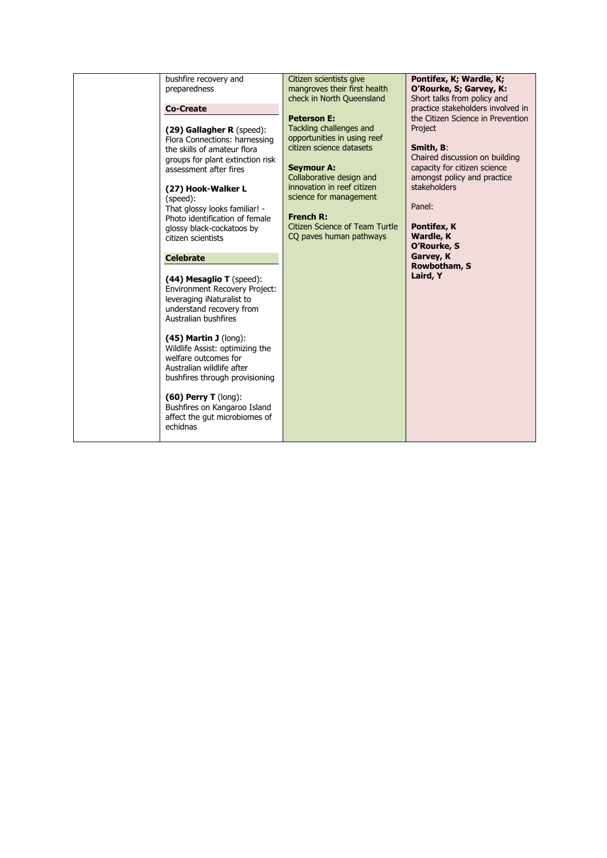| bushfire recovery and<br>preparedness<br><b>Co-Create</b><br>(29) Gallagher R (speed):<br>Flora Connections: harnessing<br>the skills of amateur flora<br>groups for plant extinction risk<br>assessment after fires<br>(27) Hook-Walker L<br>(speed):<br>That glossy looks familiar! -<br>Photo identification of female<br>glossy black-cockatoos by<br>citizen scientists<br><b>Celebrate</b><br>$(44)$ Mesaglio T (speed):<br><b>Environment Recovery Project:</b><br>leveraging iNaturalist to<br>understand recovery from<br>Australian bushfires<br>$(45)$ Martin J (long):<br>Wildlife Assist: optimizing the<br>welfare outcomes for<br>Australian wildlife after<br>bushfires through provisioning<br>$(60)$ Perry T (long):<br>Bushfires on Kangaroo Island<br>affect the gut microbiomes of<br>echidnas | Citizen scientists give<br>mangroves their first health<br>check in North Queensland<br><b>Peterson E:</b><br>Tackling challenges and<br>opportunities in using reef<br>citizen science datasets<br><b>Seymour A:</b><br>Collaborative design and<br>innovation in reef citizen<br>science for management<br><b>French R:</b><br><b>Citizen Science of Team Turtle</b><br>CQ paves human pathways | Pontifex, K; Wardle, K;<br>O'Rourke, S; Garvey, K:<br>Short talks from policy and<br>practice stakeholders involved in<br>the Citizen Science in Prevention<br>Project<br>Smith, B:<br>Chaired discussion on building<br>capacity for citizen science<br>amongst policy and practice<br>stakeholders<br>Panel:<br>Pontifex, K<br><b>Wardle, K</b><br>O'Rourke, S<br>Garvey, K<br>Rowbotham, S<br>Laird, Y |
|---------------------------------------------------------------------------------------------------------------------------------------------------------------------------------------------------------------------------------------------------------------------------------------------------------------------------------------------------------------------------------------------------------------------------------------------------------------------------------------------------------------------------------------------------------------------------------------------------------------------------------------------------------------------------------------------------------------------------------------------------------------------------------------------------------------------|---------------------------------------------------------------------------------------------------------------------------------------------------------------------------------------------------------------------------------------------------------------------------------------------------------------------------------------------------------------------------------------------------|-----------------------------------------------------------------------------------------------------------------------------------------------------------------------------------------------------------------------------------------------------------------------------------------------------------------------------------------------------------------------------------------------------------|
|---------------------------------------------------------------------------------------------------------------------------------------------------------------------------------------------------------------------------------------------------------------------------------------------------------------------------------------------------------------------------------------------------------------------------------------------------------------------------------------------------------------------------------------------------------------------------------------------------------------------------------------------------------------------------------------------------------------------------------------------------------------------------------------------------------------------|---------------------------------------------------------------------------------------------------------------------------------------------------------------------------------------------------------------------------------------------------------------------------------------------------------------------------------------------------------------------------------------------------|-----------------------------------------------------------------------------------------------------------------------------------------------------------------------------------------------------------------------------------------------------------------------------------------------------------------------------------------------------------------------------------------------------------|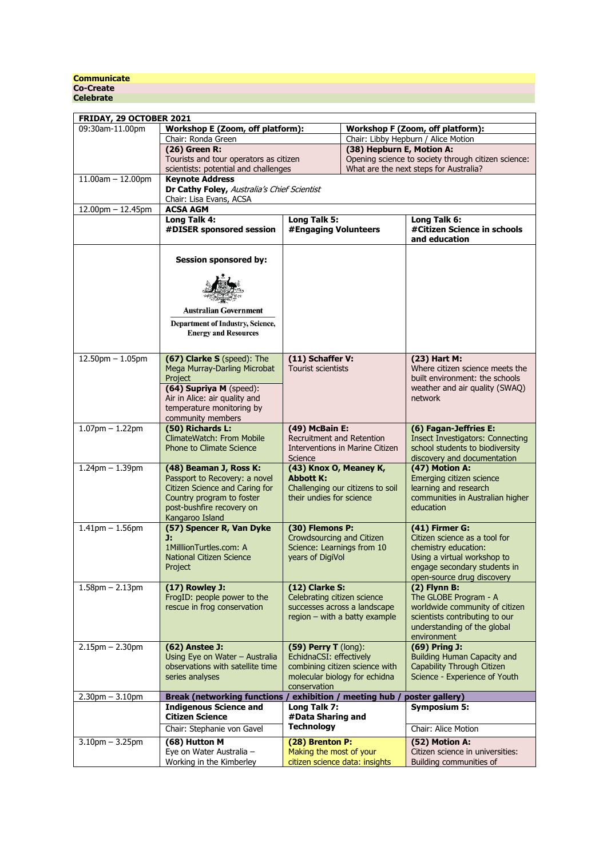### **Communicate Co-Create Celebrate**

| 09:30am-11.00pm<br>Workshop E (Zoom, off platform):<br>Workshop F (Zoom, off platform):<br>Chair: Libby Hepburn / Alice Motion<br>Chair: Ronda Green<br>(38) Hepburn E, Motion A:<br>(26) Green R:<br>Tourists and tour operators as citizen<br>Opening science to society through citizen science:<br>What are the next steps for Australia?<br>scientists: potential and challenges<br>$11.00am - 12.00pm$<br><b>Kevnote Address</b><br>Dr Cathy Foley, Australia's Chief Scientist<br>Chair: Lisa Evans, ACSA<br>$12.00$ pm $- 12.45$ pm<br><b>ACSA AGM</b><br>Long Talk 4:<br>Long Talk 5:<br>Long Talk 6:<br>#Citizen Science in schools<br>#DISER sponsored session<br>#Engaging Volunteers<br>and education<br><b>Session sponsored by:</b><br><b>Australian Government</b><br>Department of Industry, Science,<br><b>Energy and Resources</b><br>$12.50$ pm $- 1.05$ pm<br>(67) Clarke S (speed): The<br>(11) Schaffer V:<br>(23) Hart M:<br>Where citizen science meets the<br>Mega Murray-Darling Microbat<br>Tourist scientists<br>built environment: the schools<br>Project<br>(64) Supriya M (speed):<br>weather and air quality (SWAQ)<br>network<br>Air in Alice: air quality and<br>temperature monitoring by<br>community members<br>$1.07$ pm $- 1.22$ pm<br>(50) Richards L:<br>(49) McBain E:<br>(6) Fagan-Jeffries E:<br>ClimateWatch: From Mobile<br>Recruitment and Retention<br><b>Insect Investigators: Connecting</b><br>school students to biodiversity<br><b>Phone to Climate Science</b><br>Interventions in Marine Citizen<br>Science<br>discovery and documentation<br>(47) Motion A:<br>$1.24$ pm $- 1.39$ pm<br>(48) Beaman J, Ross K:<br>(43) Knox O, Meaney K,<br>Passport to Recovery: a novel<br><b>Abbott K:</b><br>Emerging citizen science<br><b>Citizen Science and Caring for</b><br>Challenging our citizens to soil<br>learning and research<br>their undies for science<br>Country program to foster<br>communities in Australian higher<br>post-bushfire recovery on<br>education<br>Kangaroo Island<br>$1.41$ pm $- 1.56$ pm<br>(57) Spencer R, Van Dyke<br>(30) Flemons P:<br>(41) Firmer G:<br>J.<br>Crowdsourcing and Citizen<br>Citizen science as a tool for<br>1MilllionTurtles.com: A<br>Science: Learnings from 10<br>chemistry education:<br>Using a virtual workshop to<br><b>National Citizen Science</b><br>years of DigiVol<br>engage secondary students in<br>Project<br>open-source drug discovery<br>$(2)$ Flynn B:<br>$1.58$ pm $- 2.13$ pm<br>(17) Rowley J:<br>(12) Clarke S:<br>FroqID: people power to the<br>Celebrating citizen science<br>The GLOBE Program - A<br>rescue in frog conservation<br>successes across a landscape<br>worldwide community of citizen<br>region - with a batty example<br>scientists contributing to our<br>understanding of the global<br>environment<br>$2.15pm - 2.30pm$<br>(62) Anstee J:<br>(59) Perry T (long):<br>(69) Pring J:<br>EchidnaCSI: effectively<br><b>Building Human Capacity and</b><br>Using Eye on Water - Australia<br>observations with satellite time<br>combining citizen science with<br>Capability Through Citizen<br>series analyses<br>molecular biology for echidna<br>Science - Experience of Youth<br>conservation<br>$2.30$ pm $- 3.10$ pm<br><b>Break (networking functions /</b><br>exhibition / meeting hub<br>poster gallery)<br>Long Talk 7:<br><b>Indigenous Science and</b><br><b>Symposium 5:</b><br><b>Citizen Science</b><br>#Data Sharing and<br><b>Technology</b><br>Chair: Alice Motion<br>Chair: Stephanie von Gavel<br>$3.10$ pm $- 3.25$ pm<br>(28) Brenton P:<br>(52) Motion A:<br>(68) Hutton M<br>Eye on Water Australia -<br>Making the most of your<br>Citizen science in universities:<br>citizen science data: insights | FRIDAY, 29 OCTOBER 2021 |                          |  |  |                         |
|-----------------------------------------------------------------------------------------------------------------------------------------------------------------------------------------------------------------------------------------------------------------------------------------------------------------------------------------------------------------------------------------------------------------------------------------------------------------------------------------------------------------------------------------------------------------------------------------------------------------------------------------------------------------------------------------------------------------------------------------------------------------------------------------------------------------------------------------------------------------------------------------------------------------------------------------------------------------------------------------------------------------------------------------------------------------------------------------------------------------------------------------------------------------------------------------------------------------------------------------------------------------------------------------------------------------------------------------------------------------------------------------------------------------------------------------------------------------------------------------------------------------------------------------------------------------------------------------------------------------------------------------------------------------------------------------------------------------------------------------------------------------------------------------------------------------------------------------------------------------------------------------------------------------------------------------------------------------------------------------------------------------------------------------------------------------------------------------------------------------------------------------------------------------------------------------------------------------------------------------------------------------------------------------------------------------------------------------------------------------------------------------------------------------------------------------------------------------------------------------------------------------------------------------------------------------------------------------------------------------------------------------------------------------------------------------------------------------------------------------------------------------------------------------------------------------------------------------------------------------------------------------------------------------------------------------------------------------------------------------------------------------------------------------------------------------------------------------------------------------------------------------------------------------------------------------------------------------------------------------------------------------------------------------------------------------------------------------------------------------------------------------------------------------------------------------------------------------------------------------------------------------------------------------------------------------------------------------------------------------------------------------------------------------------------------------------------------------------------------------------------------------------------------|-------------------------|--------------------------|--|--|-------------------------|
|                                                                                                                                                                                                                                                                                                                                                                                                                                                                                                                                                                                                                                                                                                                                                                                                                                                                                                                                                                                                                                                                                                                                                                                                                                                                                                                                                                                                                                                                                                                                                                                                                                                                                                                                                                                                                                                                                                                                                                                                                                                                                                                                                                                                                                                                                                                                                                                                                                                                                                                                                                                                                                                                                                                                                                                                                                                                                                                                                                                                                                                                                                                                                                                                                                                                                                                                                                                                                                                                                                                                                                                                                                                                                                                                                                                   |                         |                          |  |  |                         |
|                                                                                                                                                                                                                                                                                                                                                                                                                                                                                                                                                                                                                                                                                                                                                                                                                                                                                                                                                                                                                                                                                                                                                                                                                                                                                                                                                                                                                                                                                                                                                                                                                                                                                                                                                                                                                                                                                                                                                                                                                                                                                                                                                                                                                                                                                                                                                                                                                                                                                                                                                                                                                                                                                                                                                                                                                                                                                                                                                                                                                                                                                                                                                                                                                                                                                                                                                                                                                                                                                                                                                                                                                                                                                                                                                                                   |                         |                          |  |  |                         |
|                                                                                                                                                                                                                                                                                                                                                                                                                                                                                                                                                                                                                                                                                                                                                                                                                                                                                                                                                                                                                                                                                                                                                                                                                                                                                                                                                                                                                                                                                                                                                                                                                                                                                                                                                                                                                                                                                                                                                                                                                                                                                                                                                                                                                                                                                                                                                                                                                                                                                                                                                                                                                                                                                                                                                                                                                                                                                                                                                                                                                                                                                                                                                                                                                                                                                                                                                                                                                                                                                                                                                                                                                                                                                                                                                                                   |                         |                          |  |  |                         |
|                                                                                                                                                                                                                                                                                                                                                                                                                                                                                                                                                                                                                                                                                                                                                                                                                                                                                                                                                                                                                                                                                                                                                                                                                                                                                                                                                                                                                                                                                                                                                                                                                                                                                                                                                                                                                                                                                                                                                                                                                                                                                                                                                                                                                                                                                                                                                                                                                                                                                                                                                                                                                                                                                                                                                                                                                                                                                                                                                                                                                                                                                                                                                                                                                                                                                                                                                                                                                                                                                                                                                                                                                                                                                                                                                                                   |                         |                          |  |  |                         |
|                                                                                                                                                                                                                                                                                                                                                                                                                                                                                                                                                                                                                                                                                                                                                                                                                                                                                                                                                                                                                                                                                                                                                                                                                                                                                                                                                                                                                                                                                                                                                                                                                                                                                                                                                                                                                                                                                                                                                                                                                                                                                                                                                                                                                                                                                                                                                                                                                                                                                                                                                                                                                                                                                                                                                                                                                                                                                                                                                                                                                                                                                                                                                                                                                                                                                                                                                                                                                                                                                                                                                                                                                                                                                                                                                                                   |                         |                          |  |  |                         |
|                                                                                                                                                                                                                                                                                                                                                                                                                                                                                                                                                                                                                                                                                                                                                                                                                                                                                                                                                                                                                                                                                                                                                                                                                                                                                                                                                                                                                                                                                                                                                                                                                                                                                                                                                                                                                                                                                                                                                                                                                                                                                                                                                                                                                                                                                                                                                                                                                                                                                                                                                                                                                                                                                                                                                                                                                                                                                                                                                                                                                                                                                                                                                                                                                                                                                                                                                                                                                                                                                                                                                                                                                                                                                                                                                                                   |                         |                          |  |  |                         |
|                                                                                                                                                                                                                                                                                                                                                                                                                                                                                                                                                                                                                                                                                                                                                                                                                                                                                                                                                                                                                                                                                                                                                                                                                                                                                                                                                                                                                                                                                                                                                                                                                                                                                                                                                                                                                                                                                                                                                                                                                                                                                                                                                                                                                                                                                                                                                                                                                                                                                                                                                                                                                                                                                                                                                                                                                                                                                                                                                                                                                                                                                                                                                                                                                                                                                                                                                                                                                                                                                                                                                                                                                                                                                                                                                                                   |                         |                          |  |  |                         |
|                                                                                                                                                                                                                                                                                                                                                                                                                                                                                                                                                                                                                                                                                                                                                                                                                                                                                                                                                                                                                                                                                                                                                                                                                                                                                                                                                                                                                                                                                                                                                                                                                                                                                                                                                                                                                                                                                                                                                                                                                                                                                                                                                                                                                                                                                                                                                                                                                                                                                                                                                                                                                                                                                                                                                                                                                                                                                                                                                                                                                                                                                                                                                                                                                                                                                                                                                                                                                                                                                                                                                                                                                                                                                                                                                                                   |                         |                          |  |  |                         |
|                                                                                                                                                                                                                                                                                                                                                                                                                                                                                                                                                                                                                                                                                                                                                                                                                                                                                                                                                                                                                                                                                                                                                                                                                                                                                                                                                                                                                                                                                                                                                                                                                                                                                                                                                                                                                                                                                                                                                                                                                                                                                                                                                                                                                                                                                                                                                                                                                                                                                                                                                                                                                                                                                                                                                                                                                                                                                                                                                                                                                                                                                                                                                                                                                                                                                                                                                                                                                                                                                                                                                                                                                                                                                                                                                                                   |                         |                          |  |  |                         |
|                                                                                                                                                                                                                                                                                                                                                                                                                                                                                                                                                                                                                                                                                                                                                                                                                                                                                                                                                                                                                                                                                                                                                                                                                                                                                                                                                                                                                                                                                                                                                                                                                                                                                                                                                                                                                                                                                                                                                                                                                                                                                                                                                                                                                                                                                                                                                                                                                                                                                                                                                                                                                                                                                                                                                                                                                                                                                                                                                                                                                                                                                                                                                                                                                                                                                                                                                                                                                                                                                                                                                                                                                                                                                                                                                                                   |                         |                          |  |  |                         |
|                                                                                                                                                                                                                                                                                                                                                                                                                                                                                                                                                                                                                                                                                                                                                                                                                                                                                                                                                                                                                                                                                                                                                                                                                                                                                                                                                                                                                                                                                                                                                                                                                                                                                                                                                                                                                                                                                                                                                                                                                                                                                                                                                                                                                                                                                                                                                                                                                                                                                                                                                                                                                                                                                                                                                                                                                                                                                                                                                                                                                                                                                                                                                                                                                                                                                                                                                                                                                                                                                                                                                                                                                                                                                                                                                                                   |                         |                          |  |  |                         |
|                                                                                                                                                                                                                                                                                                                                                                                                                                                                                                                                                                                                                                                                                                                                                                                                                                                                                                                                                                                                                                                                                                                                                                                                                                                                                                                                                                                                                                                                                                                                                                                                                                                                                                                                                                                                                                                                                                                                                                                                                                                                                                                                                                                                                                                                                                                                                                                                                                                                                                                                                                                                                                                                                                                                                                                                                                                                                                                                                                                                                                                                                                                                                                                                                                                                                                                                                                                                                                                                                                                                                                                                                                                                                                                                                                                   |                         |                          |  |  |                         |
|                                                                                                                                                                                                                                                                                                                                                                                                                                                                                                                                                                                                                                                                                                                                                                                                                                                                                                                                                                                                                                                                                                                                                                                                                                                                                                                                                                                                                                                                                                                                                                                                                                                                                                                                                                                                                                                                                                                                                                                                                                                                                                                                                                                                                                                                                                                                                                                                                                                                                                                                                                                                                                                                                                                                                                                                                                                                                                                                                                                                                                                                                                                                                                                                                                                                                                                                                                                                                                                                                                                                                                                                                                                                                                                                                                                   |                         |                          |  |  |                         |
|                                                                                                                                                                                                                                                                                                                                                                                                                                                                                                                                                                                                                                                                                                                                                                                                                                                                                                                                                                                                                                                                                                                                                                                                                                                                                                                                                                                                                                                                                                                                                                                                                                                                                                                                                                                                                                                                                                                                                                                                                                                                                                                                                                                                                                                                                                                                                                                                                                                                                                                                                                                                                                                                                                                                                                                                                                                                                                                                                                                                                                                                                                                                                                                                                                                                                                                                                                                                                                                                                                                                                                                                                                                                                                                                                                                   |                         |                          |  |  |                         |
|                                                                                                                                                                                                                                                                                                                                                                                                                                                                                                                                                                                                                                                                                                                                                                                                                                                                                                                                                                                                                                                                                                                                                                                                                                                                                                                                                                                                                                                                                                                                                                                                                                                                                                                                                                                                                                                                                                                                                                                                                                                                                                                                                                                                                                                                                                                                                                                                                                                                                                                                                                                                                                                                                                                                                                                                                                                                                                                                                                                                                                                                                                                                                                                                                                                                                                                                                                                                                                                                                                                                                                                                                                                                                                                                                                                   |                         |                          |  |  |                         |
|                                                                                                                                                                                                                                                                                                                                                                                                                                                                                                                                                                                                                                                                                                                                                                                                                                                                                                                                                                                                                                                                                                                                                                                                                                                                                                                                                                                                                                                                                                                                                                                                                                                                                                                                                                                                                                                                                                                                                                                                                                                                                                                                                                                                                                                                                                                                                                                                                                                                                                                                                                                                                                                                                                                                                                                                                                                                                                                                                                                                                                                                                                                                                                                                                                                                                                                                                                                                                                                                                                                                                                                                                                                                                                                                                                                   |                         |                          |  |  |                         |
|                                                                                                                                                                                                                                                                                                                                                                                                                                                                                                                                                                                                                                                                                                                                                                                                                                                                                                                                                                                                                                                                                                                                                                                                                                                                                                                                                                                                                                                                                                                                                                                                                                                                                                                                                                                                                                                                                                                                                                                                                                                                                                                                                                                                                                                                                                                                                                                                                                                                                                                                                                                                                                                                                                                                                                                                                                                                                                                                                                                                                                                                                                                                                                                                                                                                                                                                                                                                                                                                                                                                                                                                                                                                                                                                                                                   |                         |                          |  |  |                         |
|                                                                                                                                                                                                                                                                                                                                                                                                                                                                                                                                                                                                                                                                                                                                                                                                                                                                                                                                                                                                                                                                                                                                                                                                                                                                                                                                                                                                                                                                                                                                                                                                                                                                                                                                                                                                                                                                                                                                                                                                                                                                                                                                                                                                                                                                                                                                                                                                                                                                                                                                                                                                                                                                                                                                                                                                                                                                                                                                                                                                                                                                                                                                                                                                                                                                                                                                                                                                                                                                                                                                                                                                                                                                                                                                                                                   |                         |                          |  |  |                         |
|                                                                                                                                                                                                                                                                                                                                                                                                                                                                                                                                                                                                                                                                                                                                                                                                                                                                                                                                                                                                                                                                                                                                                                                                                                                                                                                                                                                                                                                                                                                                                                                                                                                                                                                                                                                                                                                                                                                                                                                                                                                                                                                                                                                                                                                                                                                                                                                                                                                                                                                                                                                                                                                                                                                                                                                                                                                                                                                                                                                                                                                                                                                                                                                                                                                                                                                                                                                                                                                                                                                                                                                                                                                                                                                                                                                   |                         |                          |  |  |                         |
|                                                                                                                                                                                                                                                                                                                                                                                                                                                                                                                                                                                                                                                                                                                                                                                                                                                                                                                                                                                                                                                                                                                                                                                                                                                                                                                                                                                                                                                                                                                                                                                                                                                                                                                                                                                                                                                                                                                                                                                                                                                                                                                                                                                                                                                                                                                                                                                                                                                                                                                                                                                                                                                                                                                                                                                                                                                                                                                                                                                                                                                                                                                                                                                                                                                                                                                                                                                                                                                                                                                                                                                                                                                                                                                                                                                   |                         |                          |  |  |                         |
|                                                                                                                                                                                                                                                                                                                                                                                                                                                                                                                                                                                                                                                                                                                                                                                                                                                                                                                                                                                                                                                                                                                                                                                                                                                                                                                                                                                                                                                                                                                                                                                                                                                                                                                                                                                                                                                                                                                                                                                                                                                                                                                                                                                                                                                                                                                                                                                                                                                                                                                                                                                                                                                                                                                                                                                                                                                                                                                                                                                                                                                                                                                                                                                                                                                                                                                                                                                                                                                                                                                                                                                                                                                                                                                                                                                   |                         |                          |  |  |                         |
|                                                                                                                                                                                                                                                                                                                                                                                                                                                                                                                                                                                                                                                                                                                                                                                                                                                                                                                                                                                                                                                                                                                                                                                                                                                                                                                                                                                                                                                                                                                                                                                                                                                                                                                                                                                                                                                                                                                                                                                                                                                                                                                                                                                                                                                                                                                                                                                                                                                                                                                                                                                                                                                                                                                                                                                                                                                                                                                                                                                                                                                                                                                                                                                                                                                                                                                                                                                                                                                                                                                                                                                                                                                                                                                                                                                   |                         |                          |  |  |                         |
|                                                                                                                                                                                                                                                                                                                                                                                                                                                                                                                                                                                                                                                                                                                                                                                                                                                                                                                                                                                                                                                                                                                                                                                                                                                                                                                                                                                                                                                                                                                                                                                                                                                                                                                                                                                                                                                                                                                                                                                                                                                                                                                                                                                                                                                                                                                                                                                                                                                                                                                                                                                                                                                                                                                                                                                                                                                                                                                                                                                                                                                                                                                                                                                                                                                                                                                                                                                                                                                                                                                                                                                                                                                                                                                                                                                   |                         |                          |  |  |                         |
|                                                                                                                                                                                                                                                                                                                                                                                                                                                                                                                                                                                                                                                                                                                                                                                                                                                                                                                                                                                                                                                                                                                                                                                                                                                                                                                                                                                                                                                                                                                                                                                                                                                                                                                                                                                                                                                                                                                                                                                                                                                                                                                                                                                                                                                                                                                                                                                                                                                                                                                                                                                                                                                                                                                                                                                                                                                                                                                                                                                                                                                                                                                                                                                                                                                                                                                                                                                                                                                                                                                                                                                                                                                                                                                                                                                   |                         |                          |  |  |                         |
|                                                                                                                                                                                                                                                                                                                                                                                                                                                                                                                                                                                                                                                                                                                                                                                                                                                                                                                                                                                                                                                                                                                                                                                                                                                                                                                                                                                                                                                                                                                                                                                                                                                                                                                                                                                                                                                                                                                                                                                                                                                                                                                                                                                                                                                                                                                                                                                                                                                                                                                                                                                                                                                                                                                                                                                                                                                                                                                                                                                                                                                                                                                                                                                                                                                                                                                                                                                                                                                                                                                                                                                                                                                                                                                                                                                   |                         |                          |  |  |                         |
|                                                                                                                                                                                                                                                                                                                                                                                                                                                                                                                                                                                                                                                                                                                                                                                                                                                                                                                                                                                                                                                                                                                                                                                                                                                                                                                                                                                                                                                                                                                                                                                                                                                                                                                                                                                                                                                                                                                                                                                                                                                                                                                                                                                                                                                                                                                                                                                                                                                                                                                                                                                                                                                                                                                                                                                                                                                                                                                                                                                                                                                                                                                                                                                                                                                                                                                                                                                                                                                                                                                                                                                                                                                                                                                                                                                   |                         |                          |  |  |                         |
|                                                                                                                                                                                                                                                                                                                                                                                                                                                                                                                                                                                                                                                                                                                                                                                                                                                                                                                                                                                                                                                                                                                                                                                                                                                                                                                                                                                                                                                                                                                                                                                                                                                                                                                                                                                                                                                                                                                                                                                                                                                                                                                                                                                                                                                                                                                                                                                                                                                                                                                                                                                                                                                                                                                                                                                                                                                                                                                                                                                                                                                                                                                                                                                                                                                                                                                                                                                                                                                                                                                                                                                                                                                                                                                                                                                   |                         |                          |  |  |                         |
|                                                                                                                                                                                                                                                                                                                                                                                                                                                                                                                                                                                                                                                                                                                                                                                                                                                                                                                                                                                                                                                                                                                                                                                                                                                                                                                                                                                                                                                                                                                                                                                                                                                                                                                                                                                                                                                                                                                                                                                                                                                                                                                                                                                                                                                                                                                                                                                                                                                                                                                                                                                                                                                                                                                                                                                                                                                                                                                                                                                                                                                                                                                                                                                                                                                                                                                                                                                                                                                                                                                                                                                                                                                                                                                                                                                   |                         |                          |  |  |                         |
|                                                                                                                                                                                                                                                                                                                                                                                                                                                                                                                                                                                                                                                                                                                                                                                                                                                                                                                                                                                                                                                                                                                                                                                                                                                                                                                                                                                                                                                                                                                                                                                                                                                                                                                                                                                                                                                                                                                                                                                                                                                                                                                                                                                                                                                                                                                                                                                                                                                                                                                                                                                                                                                                                                                                                                                                                                                                                                                                                                                                                                                                                                                                                                                                                                                                                                                                                                                                                                                                                                                                                                                                                                                                                                                                                                                   |                         |                          |  |  |                         |
|                                                                                                                                                                                                                                                                                                                                                                                                                                                                                                                                                                                                                                                                                                                                                                                                                                                                                                                                                                                                                                                                                                                                                                                                                                                                                                                                                                                                                                                                                                                                                                                                                                                                                                                                                                                                                                                                                                                                                                                                                                                                                                                                                                                                                                                                                                                                                                                                                                                                                                                                                                                                                                                                                                                                                                                                                                                                                                                                                                                                                                                                                                                                                                                                                                                                                                                                                                                                                                                                                                                                                                                                                                                                                                                                                                                   |                         |                          |  |  |                         |
|                                                                                                                                                                                                                                                                                                                                                                                                                                                                                                                                                                                                                                                                                                                                                                                                                                                                                                                                                                                                                                                                                                                                                                                                                                                                                                                                                                                                                                                                                                                                                                                                                                                                                                                                                                                                                                                                                                                                                                                                                                                                                                                                                                                                                                                                                                                                                                                                                                                                                                                                                                                                                                                                                                                                                                                                                                                                                                                                                                                                                                                                                                                                                                                                                                                                                                                                                                                                                                                                                                                                                                                                                                                                                                                                                                                   |                         |                          |  |  |                         |
|                                                                                                                                                                                                                                                                                                                                                                                                                                                                                                                                                                                                                                                                                                                                                                                                                                                                                                                                                                                                                                                                                                                                                                                                                                                                                                                                                                                                                                                                                                                                                                                                                                                                                                                                                                                                                                                                                                                                                                                                                                                                                                                                                                                                                                                                                                                                                                                                                                                                                                                                                                                                                                                                                                                                                                                                                                                                                                                                                                                                                                                                                                                                                                                                                                                                                                                                                                                                                                                                                                                                                                                                                                                                                                                                                                                   |                         |                          |  |  |                         |
|                                                                                                                                                                                                                                                                                                                                                                                                                                                                                                                                                                                                                                                                                                                                                                                                                                                                                                                                                                                                                                                                                                                                                                                                                                                                                                                                                                                                                                                                                                                                                                                                                                                                                                                                                                                                                                                                                                                                                                                                                                                                                                                                                                                                                                                                                                                                                                                                                                                                                                                                                                                                                                                                                                                                                                                                                                                                                                                                                                                                                                                                                                                                                                                                                                                                                                                                                                                                                                                                                                                                                                                                                                                                                                                                                                                   |                         |                          |  |  |                         |
|                                                                                                                                                                                                                                                                                                                                                                                                                                                                                                                                                                                                                                                                                                                                                                                                                                                                                                                                                                                                                                                                                                                                                                                                                                                                                                                                                                                                                                                                                                                                                                                                                                                                                                                                                                                                                                                                                                                                                                                                                                                                                                                                                                                                                                                                                                                                                                                                                                                                                                                                                                                                                                                                                                                                                                                                                                                                                                                                                                                                                                                                                                                                                                                                                                                                                                                                                                                                                                                                                                                                                                                                                                                                                                                                                                                   |                         |                          |  |  |                         |
|                                                                                                                                                                                                                                                                                                                                                                                                                                                                                                                                                                                                                                                                                                                                                                                                                                                                                                                                                                                                                                                                                                                                                                                                                                                                                                                                                                                                                                                                                                                                                                                                                                                                                                                                                                                                                                                                                                                                                                                                                                                                                                                                                                                                                                                                                                                                                                                                                                                                                                                                                                                                                                                                                                                                                                                                                                                                                                                                                                                                                                                                                                                                                                                                                                                                                                                                                                                                                                                                                                                                                                                                                                                                                                                                                                                   |                         |                          |  |  |                         |
|                                                                                                                                                                                                                                                                                                                                                                                                                                                                                                                                                                                                                                                                                                                                                                                                                                                                                                                                                                                                                                                                                                                                                                                                                                                                                                                                                                                                                                                                                                                                                                                                                                                                                                                                                                                                                                                                                                                                                                                                                                                                                                                                                                                                                                                                                                                                                                                                                                                                                                                                                                                                                                                                                                                                                                                                                                                                                                                                                                                                                                                                                                                                                                                                                                                                                                                                                                                                                                                                                                                                                                                                                                                                                                                                                                                   |                         |                          |  |  |                         |
|                                                                                                                                                                                                                                                                                                                                                                                                                                                                                                                                                                                                                                                                                                                                                                                                                                                                                                                                                                                                                                                                                                                                                                                                                                                                                                                                                                                                                                                                                                                                                                                                                                                                                                                                                                                                                                                                                                                                                                                                                                                                                                                                                                                                                                                                                                                                                                                                                                                                                                                                                                                                                                                                                                                                                                                                                                                                                                                                                                                                                                                                                                                                                                                                                                                                                                                                                                                                                                                                                                                                                                                                                                                                                                                                                                                   |                         |                          |  |  |                         |
|                                                                                                                                                                                                                                                                                                                                                                                                                                                                                                                                                                                                                                                                                                                                                                                                                                                                                                                                                                                                                                                                                                                                                                                                                                                                                                                                                                                                                                                                                                                                                                                                                                                                                                                                                                                                                                                                                                                                                                                                                                                                                                                                                                                                                                                                                                                                                                                                                                                                                                                                                                                                                                                                                                                                                                                                                                                                                                                                                                                                                                                                                                                                                                                                                                                                                                                                                                                                                                                                                                                                                                                                                                                                                                                                                                                   |                         |                          |  |  |                         |
|                                                                                                                                                                                                                                                                                                                                                                                                                                                                                                                                                                                                                                                                                                                                                                                                                                                                                                                                                                                                                                                                                                                                                                                                                                                                                                                                                                                                                                                                                                                                                                                                                                                                                                                                                                                                                                                                                                                                                                                                                                                                                                                                                                                                                                                                                                                                                                                                                                                                                                                                                                                                                                                                                                                                                                                                                                                                                                                                                                                                                                                                                                                                                                                                                                                                                                                                                                                                                                                                                                                                                                                                                                                                                                                                                                                   |                         |                          |  |  |                         |
|                                                                                                                                                                                                                                                                                                                                                                                                                                                                                                                                                                                                                                                                                                                                                                                                                                                                                                                                                                                                                                                                                                                                                                                                                                                                                                                                                                                                                                                                                                                                                                                                                                                                                                                                                                                                                                                                                                                                                                                                                                                                                                                                                                                                                                                                                                                                                                                                                                                                                                                                                                                                                                                                                                                                                                                                                                                                                                                                                                                                                                                                                                                                                                                                                                                                                                                                                                                                                                                                                                                                                                                                                                                                                                                                                                                   |                         |                          |  |  |                         |
|                                                                                                                                                                                                                                                                                                                                                                                                                                                                                                                                                                                                                                                                                                                                                                                                                                                                                                                                                                                                                                                                                                                                                                                                                                                                                                                                                                                                                                                                                                                                                                                                                                                                                                                                                                                                                                                                                                                                                                                                                                                                                                                                                                                                                                                                                                                                                                                                                                                                                                                                                                                                                                                                                                                                                                                                                                                                                                                                                                                                                                                                                                                                                                                                                                                                                                                                                                                                                                                                                                                                                                                                                                                                                                                                                                                   |                         |                          |  |  |                         |
|                                                                                                                                                                                                                                                                                                                                                                                                                                                                                                                                                                                                                                                                                                                                                                                                                                                                                                                                                                                                                                                                                                                                                                                                                                                                                                                                                                                                                                                                                                                                                                                                                                                                                                                                                                                                                                                                                                                                                                                                                                                                                                                                                                                                                                                                                                                                                                                                                                                                                                                                                                                                                                                                                                                                                                                                                                                                                                                                                                                                                                                                                                                                                                                                                                                                                                                                                                                                                                                                                                                                                                                                                                                                                                                                                                                   |                         |                          |  |  |                         |
|                                                                                                                                                                                                                                                                                                                                                                                                                                                                                                                                                                                                                                                                                                                                                                                                                                                                                                                                                                                                                                                                                                                                                                                                                                                                                                                                                                                                                                                                                                                                                                                                                                                                                                                                                                                                                                                                                                                                                                                                                                                                                                                                                                                                                                                                                                                                                                                                                                                                                                                                                                                                                                                                                                                                                                                                                                                                                                                                                                                                                                                                                                                                                                                                                                                                                                                                                                                                                                                                                                                                                                                                                                                                                                                                                                                   |                         |                          |  |  |                         |
|                                                                                                                                                                                                                                                                                                                                                                                                                                                                                                                                                                                                                                                                                                                                                                                                                                                                                                                                                                                                                                                                                                                                                                                                                                                                                                                                                                                                                                                                                                                                                                                                                                                                                                                                                                                                                                                                                                                                                                                                                                                                                                                                                                                                                                                                                                                                                                                                                                                                                                                                                                                                                                                                                                                                                                                                                                                                                                                                                                                                                                                                                                                                                                                                                                                                                                                                                                                                                                                                                                                                                                                                                                                                                                                                                                                   |                         |                          |  |  |                         |
|                                                                                                                                                                                                                                                                                                                                                                                                                                                                                                                                                                                                                                                                                                                                                                                                                                                                                                                                                                                                                                                                                                                                                                                                                                                                                                                                                                                                                                                                                                                                                                                                                                                                                                                                                                                                                                                                                                                                                                                                                                                                                                                                                                                                                                                                                                                                                                                                                                                                                                                                                                                                                                                                                                                                                                                                                                                                                                                                                                                                                                                                                                                                                                                                                                                                                                                                                                                                                                                                                                                                                                                                                                                                                                                                                                                   |                         |                          |  |  |                         |
|                                                                                                                                                                                                                                                                                                                                                                                                                                                                                                                                                                                                                                                                                                                                                                                                                                                                                                                                                                                                                                                                                                                                                                                                                                                                                                                                                                                                                                                                                                                                                                                                                                                                                                                                                                                                                                                                                                                                                                                                                                                                                                                                                                                                                                                                                                                                                                                                                                                                                                                                                                                                                                                                                                                                                                                                                                                                                                                                                                                                                                                                                                                                                                                                                                                                                                                                                                                                                                                                                                                                                                                                                                                                                                                                                                                   |                         |                          |  |  |                         |
|                                                                                                                                                                                                                                                                                                                                                                                                                                                                                                                                                                                                                                                                                                                                                                                                                                                                                                                                                                                                                                                                                                                                                                                                                                                                                                                                                                                                                                                                                                                                                                                                                                                                                                                                                                                                                                                                                                                                                                                                                                                                                                                                                                                                                                                                                                                                                                                                                                                                                                                                                                                                                                                                                                                                                                                                                                                                                                                                                                                                                                                                                                                                                                                                                                                                                                                                                                                                                                                                                                                                                                                                                                                                                                                                                                                   |                         |                          |  |  |                         |
|                                                                                                                                                                                                                                                                                                                                                                                                                                                                                                                                                                                                                                                                                                                                                                                                                                                                                                                                                                                                                                                                                                                                                                                                                                                                                                                                                                                                                                                                                                                                                                                                                                                                                                                                                                                                                                                                                                                                                                                                                                                                                                                                                                                                                                                                                                                                                                                                                                                                                                                                                                                                                                                                                                                                                                                                                                                                                                                                                                                                                                                                                                                                                                                                                                                                                                                                                                                                                                                                                                                                                                                                                                                                                                                                                                                   |                         |                          |  |  |                         |
|                                                                                                                                                                                                                                                                                                                                                                                                                                                                                                                                                                                                                                                                                                                                                                                                                                                                                                                                                                                                                                                                                                                                                                                                                                                                                                                                                                                                                                                                                                                                                                                                                                                                                                                                                                                                                                                                                                                                                                                                                                                                                                                                                                                                                                                                                                                                                                                                                                                                                                                                                                                                                                                                                                                                                                                                                                                                                                                                                                                                                                                                                                                                                                                                                                                                                                                                                                                                                                                                                                                                                                                                                                                                                                                                                                                   |                         |                          |  |  |                         |
|                                                                                                                                                                                                                                                                                                                                                                                                                                                                                                                                                                                                                                                                                                                                                                                                                                                                                                                                                                                                                                                                                                                                                                                                                                                                                                                                                                                                                                                                                                                                                                                                                                                                                                                                                                                                                                                                                                                                                                                                                                                                                                                                                                                                                                                                                                                                                                                                                                                                                                                                                                                                                                                                                                                                                                                                                                                                                                                                                                                                                                                                                                                                                                                                                                                                                                                                                                                                                                                                                                                                                                                                                                                                                                                                                                                   |                         |                          |  |  |                         |
|                                                                                                                                                                                                                                                                                                                                                                                                                                                                                                                                                                                                                                                                                                                                                                                                                                                                                                                                                                                                                                                                                                                                                                                                                                                                                                                                                                                                                                                                                                                                                                                                                                                                                                                                                                                                                                                                                                                                                                                                                                                                                                                                                                                                                                                                                                                                                                                                                                                                                                                                                                                                                                                                                                                                                                                                                                                                                                                                                                                                                                                                                                                                                                                                                                                                                                                                                                                                                                                                                                                                                                                                                                                                                                                                                                                   |                         |                          |  |  |                         |
|                                                                                                                                                                                                                                                                                                                                                                                                                                                                                                                                                                                                                                                                                                                                                                                                                                                                                                                                                                                                                                                                                                                                                                                                                                                                                                                                                                                                                                                                                                                                                                                                                                                                                                                                                                                                                                                                                                                                                                                                                                                                                                                                                                                                                                                                                                                                                                                                                                                                                                                                                                                                                                                                                                                                                                                                                                                                                                                                                                                                                                                                                                                                                                                                                                                                                                                                                                                                                                                                                                                                                                                                                                                                                                                                                                                   |                         |                          |  |  |                         |
|                                                                                                                                                                                                                                                                                                                                                                                                                                                                                                                                                                                                                                                                                                                                                                                                                                                                                                                                                                                                                                                                                                                                                                                                                                                                                                                                                                                                                                                                                                                                                                                                                                                                                                                                                                                                                                                                                                                                                                                                                                                                                                                                                                                                                                                                                                                                                                                                                                                                                                                                                                                                                                                                                                                                                                                                                                                                                                                                                                                                                                                                                                                                                                                                                                                                                                                                                                                                                                                                                                                                                                                                                                                                                                                                                                                   |                         |                          |  |  |                         |
|                                                                                                                                                                                                                                                                                                                                                                                                                                                                                                                                                                                                                                                                                                                                                                                                                                                                                                                                                                                                                                                                                                                                                                                                                                                                                                                                                                                                                                                                                                                                                                                                                                                                                                                                                                                                                                                                                                                                                                                                                                                                                                                                                                                                                                                                                                                                                                                                                                                                                                                                                                                                                                                                                                                                                                                                                                                                                                                                                                                                                                                                                                                                                                                                                                                                                                                                                                                                                                                                                                                                                                                                                                                                                                                                                                                   |                         |                          |  |  |                         |
|                                                                                                                                                                                                                                                                                                                                                                                                                                                                                                                                                                                                                                                                                                                                                                                                                                                                                                                                                                                                                                                                                                                                                                                                                                                                                                                                                                                                                                                                                                                                                                                                                                                                                                                                                                                                                                                                                                                                                                                                                                                                                                                                                                                                                                                                                                                                                                                                                                                                                                                                                                                                                                                                                                                                                                                                                                                                                                                                                                                                                                                                                                                                                                                                                                                                                                                                                                                                                                                                                                                                                                                                                                                                                                                                                                                   |                         |                          |  |  |                         |
|                                                                                                                                                                                                                                                                                                                                                                                                                                                                                                                                                                                                                                                                                                                                                                                                                                                                                                                                                                                                                                                                                                                                                                                                                                                                                                                                                                                                                                                                                                                                                                                                                                                                                                                                                                                                                                                                                                                                                                                                                                                                                                                                                                                                                                                                                                                                                                                                                                                                                                                                                                                                                                                                                                                                                                                                                                                                                                                                                                                                                                                                                                                                                                                                                                                                                                                                                                                                                                                                                                                                                                                                                                                                                                                                                                                   |                         |                          |  |  |                         |
|                                                                                                                                                                                                                                                                                                                                                                                                                                                                                                                                                                                                                                                                                                                                                                                                                                                                                                                                                                                                                                                                                                                                                                                                                                                                                                                                                                                                                                                                                                                                                                                                                                                                                                                                                                                                                                                                                                                                                                                                                                                                                                                                                                                                                                                                                                                                                                                                                                                                                                                                                                                                                                                                                                                                                                                                                                                                                                                                                                                                                                                                                                                                                                                                                                                                                                                                                                                                                                                                                                                                                                                                                                                                                                                                                                                   |                         |                          |  |  |                         |
|                                                                                                                                                                                                                                                                                                                                                                                                                                                                                                                                                                                                                                                                                                                                                                                                                                                                                                                                                                                                                                                                                                                                                                                                                                                                                                                                                                                                                                                                                                                                                                                                                                                                                                                                                                                                                                                                                                                                                                                                                                                                                                                                                                                                                                                                                                                                                                                                                                                                                                                                                                                                                                                                                                                                                                                                                                                                                                                                                                                                                                                                                                                                                                                                                                                                                                                                                                                                                                                                                                                                                                                                                                                                                                                                                                                   |                         |                          |  |  |                         |
|                                                                                                                                                                                                                                                                                                                                                                                                                                                                                                                                                                                                                                                                                                                                                                                                                                                                                                                                                                                                                                                                                                                                                                                                                                                                                                                                                                                                                                                                                                                                                                                                                                                                                                                                                                                                                                                                                                                                                                                                                                                                                                                                                                                                                                                                                                                                                                                                                                                                                                                                                                                                                                                                                                                                                                                                                                                                                                                                                                                                                                                                                                                                                                                                                                                                                                                                                                                                                                                                                                                                                                                                                                                                                                                                                                                   |                         |                          |  |  |                         |
|                                                                                                                                                                                                                                                                                                                                                                                                                                                                                                                                                                                                                                                                                                                                                                                                                                                                                                                                                                                                                                                                                                                                                                                                                                                                                                                                                                                                                                                                                                                                                                                                                                                                                                                                                                                                                                                                                                                                                                                                                                                                                                                                                                                                                                                                                                                                                                                                                                                                                                                                                                                                                                                                                                                                                                                                                                                                                                                                                                                                                                                                                                                                                                                                                                                                                                                                                                                                                                                                                                                                                                                                                                                                                                                                                                                   |                         |                          |  |  |                         |
|                                                                                                                                                                                                                                                                                                                                                                                                                                                                                                                                                                                                                                                                                                                                                                                                                                                                                                                                                                                                                                                                                                                                                                                                                                                                                                                                                                                                                                                                                                                                                                                                                                                                                                                                                                                                                                                                                                                                                                                                                                                                                                                                                                                                                                                                                                                                                                                                                                                                                                                                                                                                                                                                                                                                                                                                                                                                                                                                                                                                                                                                                                                                                                                                                                                                                                                                                                                                                                                                                                                                                                                                                                                                                                                                                                                   |                         | Working in the Kimberley |  |  | Building communities of |